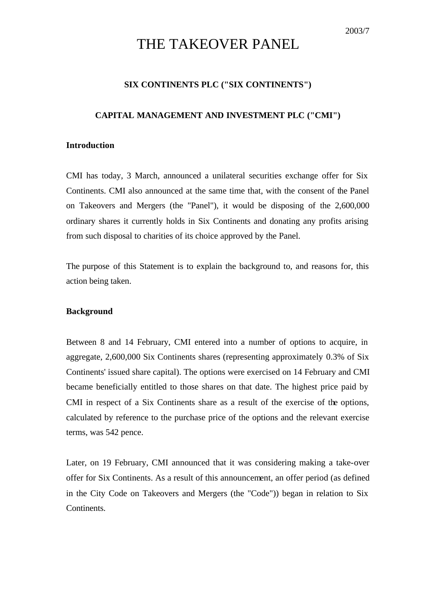# THE TAKEOVER PANEL

# **SIX CONTINENTS PLC ("SIX CONTINENTS")**

## **CAPITAL MANAGEMENT AND INVESTMENT PLC ("CMI")**

#### **Introduction**

CMI has today, 3 March, announced a unilateral securities exchange offer for Six Continents. CMI also announced at the same time that, with the consent of the Panel on Takeovers and Mergers (the "Panel"), it would be disposing of the 2,600,000 ordinary shares it currently holds in Six Continents and donating any profits arising from such disposal to charities of its choice approved by the Panel.

The purpose of this Statement is to explain the background to, and reasons for, this action being taken.

## **Background**

Between 8 and 14 February, CMI entered into a number of options to acquire, in aggregate, 2,600,000 Six Continents shares (representing approximately 0.3% of Six Continents' issued share capital). The options were exercised on 14 February and CMI became beneficially entitled to those shares on that date. The highest price paid by CMI in respect of a Six Continents share as a result of the exercise of the options, calculated by reference to the purchase price of the options and the relevant exercise terms, was 542 pence.

Later, on 19 February, CMI announced that it was considering making a take-over offer for Six Continents. As a result of this announcement, an offer period (as defined in the City Code on Takeovers and Mergers (the "Code")) began in relation to Six Continents.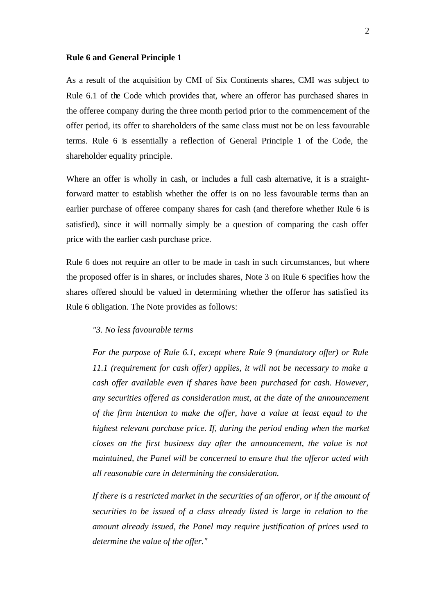### **Rule 6 and General Principle 1**

As a result of the acquisition by CMI of Six Continents shares, CMI was subject to Rule 6.1 of the Code which provides that, where an offeror has purchased shares in the offeree company during the three month period prior to the commencement of the offer period, its offer to shareholders of the same class must not be on less favourable terms. Rule 6 is essentially a reflection of General Principle 1 of the Code, the shareholder equality principle.

Where an offer is wholly in cash, or includes a full cash alternative, it is a straightforward matter to establish whether the offer is on no less favourable terms than an earlier purchase of offeree company shares for cash (and therefore whether Rule 6 is satisfied), since it will normally simply be a question of comparing the cash offer price with the earlier cash purchase price.

Rule 6 does not require an offer to be made in cash in such circumstances, but where the proposed offer is in shares, or includes shares, Note 3 on Rule 6 specifies how the shares offered should be valued in determining whether the offeror has satisfied its Rule 6 obligation. The Note provides as follows:

#### *"3. No less favourable terms*

*For the purpose of Rule 6.1, except where Rule 9 (mandatory offer) or Rule 11.1 (requirement for cash offer) applies, it will not be necessary to make a cash offer available even if shares have been purchased for cash. However, any securities offered as consideration must, at the date of the announcement of the firm intention to make the offer, have a value at least equal to the highest relevant purchase price. If, during the period ending when the market closes on the first business day after the announcement, the value is not maintained, the Panel will be concerned to ensure that the offeror acted with all reasonable care in determining the consideration.*

*If there is a restricted market in the securities of an offeror, or if the amount of securities to be issued of a class already listed is large in relation to the amount already issued, the Panel may require justification of prices used to determine the value of the offer."*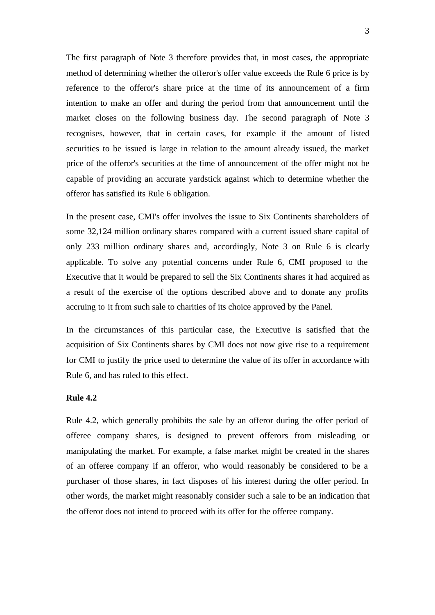The first paragraph of Note 3 therefore provides that, in most cases, the appropriate method of determining whether the offeror's offer value exceeds the Rule 6 price is by reference to the offeror's share price at the time of its announcement of a firm intention to make an offer and during the period from that announcement until the market closes on the following business day. The second paragraph of Note 3 recognises, however, that in certain cases, for example if the amount of listed securities to be issued is large in relation to the amount already issued, the market price of the offeror's securities at the time of announcement of the offer might not be capable of providing an accurate yardstick against which to determine whether the offeror has satisfied its Rule 6 obligation.

In the present case, CMI's offer involves the issue to Six Continents shareholders of some 32,124 million ordinary shares compared with a current issued share capital of only 233 million ordinary shares and, accordingly, Note 3 on Rule 6 is clearly applicable. To solve any potential concerns under Rule 6, CMI proposed to the Executive that it would be prepared to sell the Six Continents shares it had acquired as a result of the exercise of the options described above and to donate any profits accruing to it from such sale to charities of its choice approved by the Panel.

In the circumstances of this particular case, the Executive is satisfied that the acquisition of Six Continents shares by CMI does not now give rise to a requirement for CMI to justify the price used to determine the value of its offer in accordance with Rule 6, and has ruled to this effect.

## **Rule 4.2**

Rule 4.2, which generally prohibits the sale by an offeror during the offer period of offeree company shares, is designed to prevent offerors from misleading or manipulating the market. For example, a false market might be created in the shares of an offeree company if an offeror, who would reasonably be considered to be a purchaser of those shares, in fact disposes of his interest during the offer period. In other words, the market might reasonably consider such a sale to be an indication that the offeror does not intend to proceed with its offer for the offeree company.